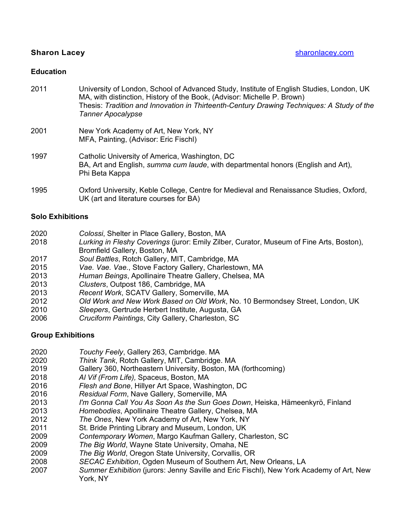University of London, School of Advanced Study, Institute of English Studies, London, UK MA, with distinction, History of the Book, (Advisor: Michelle P. Brown) Thesis: *Tradition and Innovation in Thirteenth-Century Drawing Techniques: A Study of the Tanner Apocalypse* New York Academy of Art, New York, NY MFA, Painting, (Advisor: Eric Fischl) Catholic University of America, Washington, DC BA, Art and English, *summa cum laude*, with departmental honors (English and Art), Phi Beta Kappa Oxford University, Keble College, Centre for Medieval and Renaissance Studies, Oxford, UK (art and literature courses for BA)

### **Solo Exhibitions**

- *Colossi*, Shelter in Place Gallery, Boston, MA
- *Lurking in Fleshy Coverings* (juror: Emily Zilber, Curator, Museum of Fine Arts, Boston), Bromfield Gallery, Boston, MA
- *Soul Battles*, Rotch Gallery, MIT, Cambridge, MA
- *Vae. Vae. Vae.*, Stove Factory Gallery, Charlestown, MA
- *Human Beings*, Apollinaire Theatre Gallery, Chelsea, MA
- *Clusters*, Outpost 186, Cambridge, MA
- *Recent Work*, SCATV Gallery, Somerville, MA
- *Old Work and New Work Based on Old Work*, No. 10 Bermondsey Street, London, UK
- *Sleepers*, Gertrude Herbert Institute, Augusta, GA
- *Cruciform Paintings*, City Gallery, Charleston, SC

### **Group Exhibitions**

- *Touchy Feely*, Gallery 263, Cambridge. MA
- **Think Tank, Rotch Gallery, MIT, Cambridge. MA**
- Gallery 360, Northeastern University, Boston, MA (forthcoming)
- *Al Vif (From Life),* Spaceus, Boston, MA
- *Flesh and Bone*, Hillyer Art Space, Washington, DC
- *Residual Form*, Nave Gallery, Somerville, MA
- *I'm Gonna Call You As Soon As the Sun Goes Down*, Heiska, Hämeenkyrö, Finland
- *Homebodies*, Apollinaire Theatre Gallery, Chelsea, MA
- 
- *The Ones*, New York Academy of Art, New York, NY St. Bride Printing Library and Museum, London, UK
- *Contemporary Women*, Margo Kaufman Gallery, Charleston, SC
- *The Big World*, Wayne State University, Omaha, NE
- *The Big World*, Oregon State University, Corvallis, OR
- *SECAC Exhibition*, Ogden Museum of Southern Art, New Orleans, LA
- *Summer Exhibition* (jurors: Jenny Saville and Eric Fischl), New York Academy of Art, New York, NY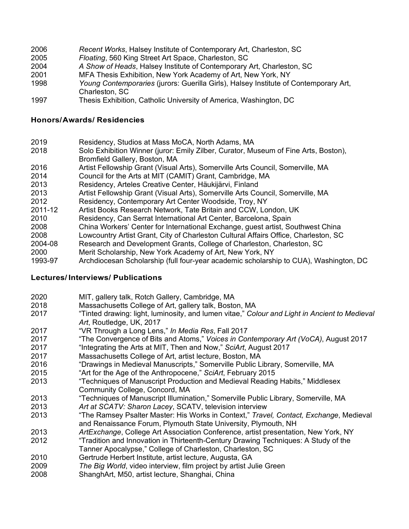- *Recent Works*, Halsey Institute of Contemporary Art, Charleston, SC
- *Floating*, 560 King Street Art Space, Charleston, SC
- *A Show of Heads*, Halsey Institute of Contemporary Art, Charleston, SC
- MFA Thesis Exhibition, New York Academy of Art, New York, NY
- *Young Contemporaries* (jurors: Guerilla Girls), Halsey Institute of Contemporary Art, Charleston, SC
- Thesis Exhibition, Catholic University of America, Washington, DC

## **Honors/Awards/ Residencies**

- Residency, Studios at Mass MoCA, North Adams, MA
- Solo Exhibition Winner (juror: Emily Zilber, Curator, Museum of Fine Arts, Boston), Bromfield Gallery, Boston, MA
- Artist Fellowship Grant (Visual Arts), Somerville Arts Council, Somerville, MA
- Council for the Arts at MIT (CAMIT) Grant, Cambridge, MA
- Residency, Arteles Creative Center, Häukijärvi, Finland
- Artist Fellowship Grant (Visual Arts), Somerville Arts Council, Somerville, MA
- Residency, Contemporary Art Center Woodside, Troy, NY
- 2011-12 Artist Books Research Network, Tate Britain and CCW, London, UK
- Residency, Can Serrat International Art Center, Barcelona, Spain
- China Workers' Center for International Exchange, guest artist, Southwest China
- Lowcountry Artist Grant, City of Charleston Cultural Affairs Office, Charleston, SC
- 2004-08 Research and Development Grants, College of Charleston, Charleston, SC
- Merit Scholarship, New York Academy of Art, New York, NY
- 1993-97 Archdiocesan Scholarship (full four-year academic scholarship to CUA), Washington, DC

# **Lectures/ Interviews/ Publications**

- MIT, gallery talk, Rotch Gallery, Cambridge, MA
- 2018 Massachusetts College of Art, gallery talk, Boston, MA<br>2017 **Tinted drawing: light Juminosity and lumen** vitae " Col
- "Tinted drawing: light, luminosity, and lumen vitae," *[Colour and Light in Ancient to Medieval](https://www.amazon.com/Colour-Light-Ancient-Medieval-Art/dp/1472478398)  [Art](https://www.amazon.com/Colour-Light-Ancient-Medieval-Art/dp/1472478398)*, Routledge, UK, 2017
- "VR Through a Long Lens," *In Media Res*, Fall 2017
- "The Convergence of Bits and Atoms," *Voices in Contemporary Art (VoCA)*, August 2017
- "Integrating the Arts at MIT, Then and Now," *SciArt*, August 2017
- Massachusetts College of Art, artist lecture, Boston, MA
- "Drawings in Medieval Manuscripts," Somerville Public Library, Somerville, MA
- "Art for the Age of the Anthropocene," *SciArt*, February 2015
- "Techniques of Manuscript Production and Medieval Reading Habits," Middlesex Community College, Concord, MA
- "Techniques of Manuscript Illumination," Somerville Public Library, Somerville, MA
- *Art at SCATV: Sharon Lacey*, SCATV, television interview
- 2013 "The Ramsey Psalter Master: His Works in Context," *Travel, Contact, Exchange*, Medieval and Renaissance Forum, Plymouth State University, Plymouth, NH
- *ArtExchange*, College Art Association Conference, artist presentation, New York, NY
- "Tradition and Innovation in Thirteenth-Century Drawing Techniques: A Study of the
- Tanner Apocalypse," College of Charleston, Charleston, SC
- Gertrude Herbert Institute, artist lecture, Augusta, GA
- *The Big World*, video interview, film project by artist Julie Green
- ShanghArt, M50, artist lecture, Shanghai, China